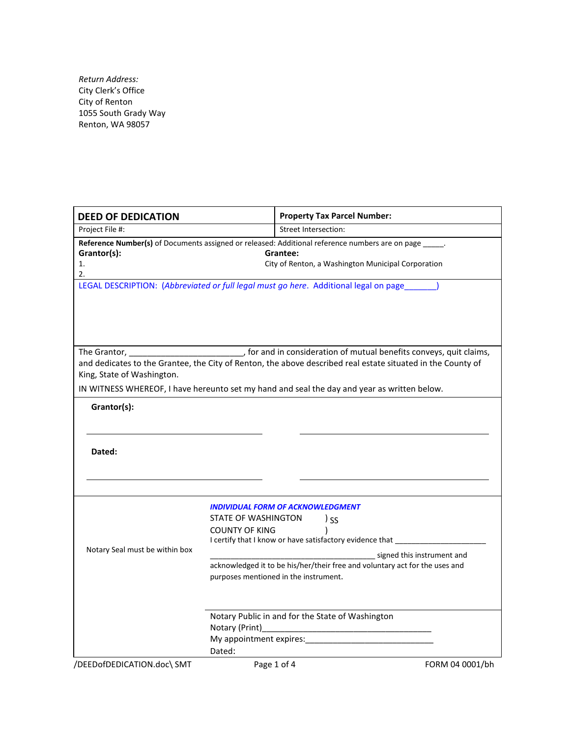*Return Address:* City Clerk's Office City of Renton 1055 South Grady Way Renton, WA 98057

| <b>DEED OF DEDICATION</b>                                                                                                                                                                                                                                                                                                                                                                                                                                                  |                                              | <b>Property Tax Parcel Number:</b>                                                                                                                                                                                                                                                                               |                            |  |
|----------------------------------------------------------------------------------------------------------------------------------------------------------------------------------------------------------------------------------------------------------------------------------------------------------------------------------------------------------------------------------------------------------------------------------------------------------------------------|----------------------------------------------|------------------------------------------------------------------------------------------------------------------------------------------------------------------------------------------------------------------------------------------------------------------------------------------------------------------|----------------------------|--|
| Project File #:                                                                                                                                                                                                                                                                                                                                                                                                                                                            |                                              | <b>Street Intersection:</b>                                                                                                                                                                                                                                                                                      |                            |  |
| Reference Number(s) of Documents assigned or released: Additional reference numbers are on page _____.<br>Grantor(s):<br>Grantee:<br>1.<br>City of Renton, a Washington Municipal Corporation<br>2.                                                                                                                                                                                                                                                                        |                                              |                                                                                                                                                                                                                                                                                                                  |                            |  |
| LEGAL DESCRIPTION: (Abbreviated or full legal must go here. Additional legal on page                                                                                                                                                                                                                                                                                                                                                                                       |                                              |                                                                                                                                                                                                                                                                                                                  |                            |  |
| The Grantor, Channel Communist Communist Communist Communist Communist Communist Communist Communist Communist Communist Communist Communist Communist Communist Communist Communist Communist Communist Communist Communist C<br>and dedicates to the Grantee, the City of Renton, the above described real estate situated in the County of<br>King, State of Washington.<br>IN WITNESS WHEREOF, I have hereunto set my hand and seal the day and year as written below. |                                              |                                                                                                                                                                                                                                                                                                                  |                            |  |
| Grantor(s):<br>Dated:                                                                                                                                                                                                                                                                                                                                                                                                                                                      |                                              |                                                                                                                                                                                                                                                                                                                  |                            |  |
| Notary Seal must be within box                                                                                                                                                                                                                                                                                                                                                                                                                                             | STATE OF WASHINGTON<br><b>COUNTY OF KING</b> | <b>INDIVIDUAL FORM OF ACKNOWLEDGMENT</b><br>) ss<br>I certify that I know or have satisfactory evidence that _______________________<br>acknowledged it to be his/her/their free and voluntary act for the uses and<br>purposes mentioned in the instrument.<br>Notary Public in and for the State of Washington | signed this instrument and |  |
| /DEEDofDEDICATION.doc\ SMT                                                                                                                                                                                                                                                                                                                                                                                                                                                 | Notary (Print)<br>Dated:<br>Page 1 of 4      | My appointment expires:<br>My appointment expires:                                                                                                                                                                                                                                                               | FORM 04 0001/bh            |  |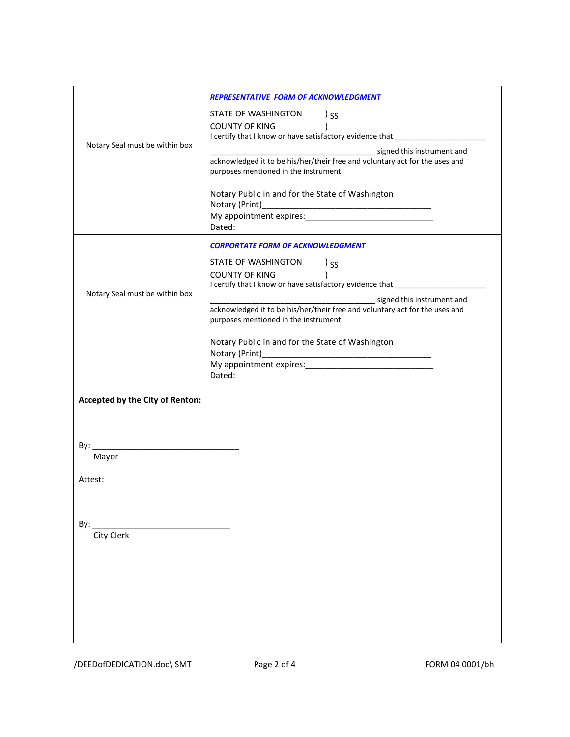|                                 | <b>REPRESENTATIVE FORM OF ACKNOWLEDGMENT</b>                                                                                                                                                                                                                                                 |
|---------------------------------|----------------------------------------------------------------------------------------------------------------------------------------------------------------------------------------------------------------------------------------------------------------------------------------------|
| Notary Seal must be within box  | STATE OF WASHINGTON<br>) SS<br><b>COUNTY OF KING</b><br>I certify that I know or have satisfactory evidence that _______________________                                                                                                                                                     |
|                                 | signed this instrument and<br>acknowledged it to be his/her/their free and voluntary act for the uses and<br>purposes mentioned in the instrument.                                                                                                                                           |
|                                 | Notary Public in and for the State of Washington<br>My appointment expires: Note that the set of the set of the set of the set of the set of the set of the set of the set of the set of the set of the set of the set of the set of the set of the set of the set of the set of t<br>Dated: |
|                                 | <b>CORPORTATE FORM OF ACKNOWLEDGMENT</b>                                                                                                                                                                                                                                                     |
| Notary Seal must be within box  | <b>STATE OF WASHINGTON</b><br>) SS<br><b>COUNTY OF KING</b>                                                                                                                                                                                                                                  |
|                                 | signed this instrument and<br>acknowledged it to be his/her/their free and voluntary act for the uses and<br>purposes mentioned in the instrument.                                                                                                                                           |
|                                 | Notary Public in and for the State of Washington                                                                                                                                                                                                                                             |
|                                 | Dated:                                                                                                                                                                                                                                                                                       |
| Accepted by the City of Renton: |                                                                                                                                                                                                                                                                                              |
|                                 |                                                                                                                                                                                                                                                                                              |
| Mayor                           |                                                                                                                                                                                                                                                                                              |
| Attest:                         |                                                                                                                                                                                                                                                                                              |
|                                 |                                                                                                                                                                                                                                                                                              |
| By:<br>City Clerk               |                                                                                                                                                                                                                                                                                              |
|                                 |                                                                                                                                                                                                                                                                                              |
|                                 |                                                                                                                                                                                                                                                                                              |
|                                 |                                                                                                                                                                                                                                                                                              |
|                                 |                                                                                                                                                                                                                                                                                              |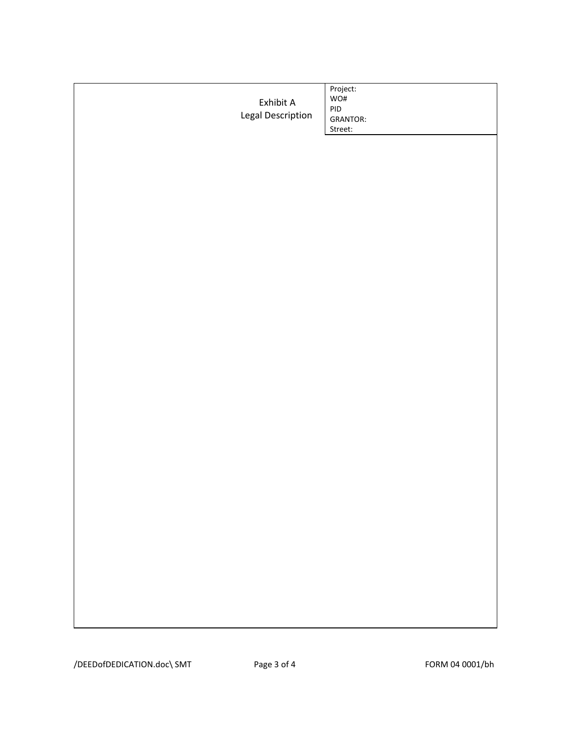| Exhibit A<br>Legal Description | Project:<br>WO#<br>$\ensuremath{\mathsf{PID}}$<br><b>GRANTOR:</b><br>Street: |
|--------------------------------|------------------------------------------------------------------------------|
|                                |                                                                              |
|                                |                                                                              |
|                                |                                                                              |
|                                |                                                                              |
|                                |                                                                              |
|                                |                                                                              |
|                                |                                                                              |
|                                |                                                                              |